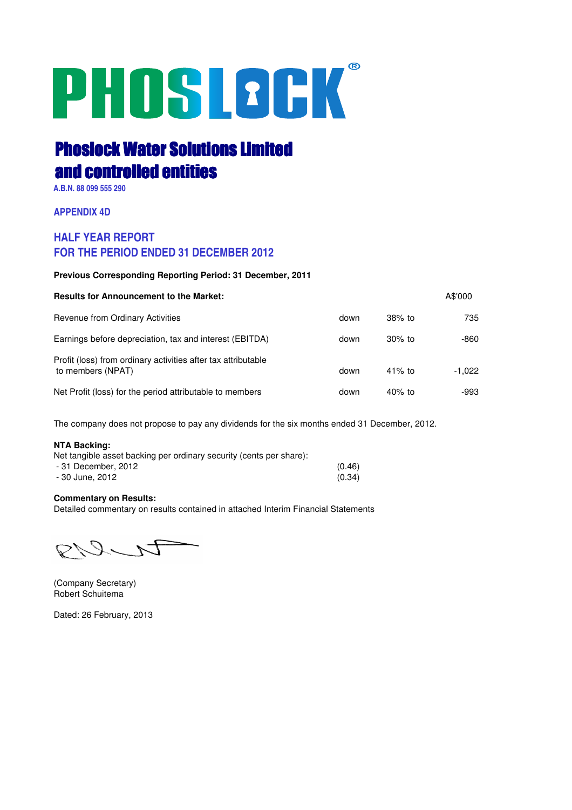# PHOSLOCK®

# Phoslock Water Solutions Limited and controlled entities

**A.B.N. 88 099 555 290**

**APPENDIX 4D**

# **HALF YEAR REPORT FOR THE PERIOD ENDED 31 DECEMBER 2012**

# **Previous Corresponding Reporting Period: 31 December, 2011**

| <b>Results for Announcement to the Market:</b>                                     |      |           | A\$'000  |
|------------------------------------------------------------------------------------|------|-----------|----------|
| <b>Revenue from Ordinary Activities</b>                                            | down | $38\%$ to | 735      |
| Earnings before depreciation, tax and interest (EBITDA)                            | down | $30\%$ to | -860     |
| Profit (loss) from ordinary activities after tax attributable<br>to members (NPAT) | down | $41\%$ to | $-1.022$ |
| Net Profit (loss) for the period attributable to members                           | down | $40\%$ to | -993     |

The company does not propose to pay any dividends for the six months ended 31 December, 2012.

# **NTA Backing:**

| Net tangible asset backing per ordinary security (cents per share): |        |
|---------------------------------------------------------------------|--------|
| - 31 December, 2012                                                 | (0.46) |
| - 30 June, 2012                                                     | (0.34) |

# **Commentary on Results:**

Detailed commentary on results contained in attached Interim Financial Statements

PNIN

(Company Secretary) Robert Schuitema

Dated: 26 February, 2013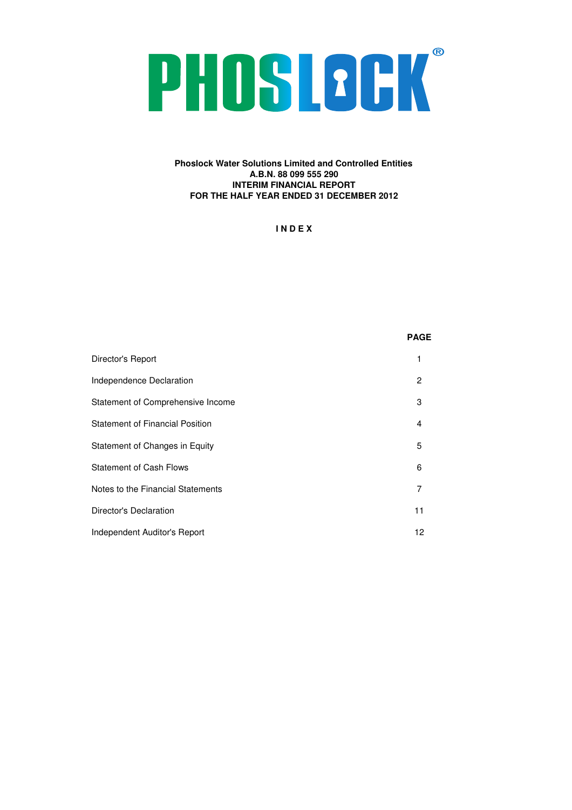# PHOSLOCK®

# **Phoslock Water Solutions Limited and Controlled Entities A.B.N. 88 099 555 290 INTERIM FINANCIAL REPORT FOR THE HALF YEAR ENDED 31 DECEMBER 2012**

**I N D E X**

|                                        | <b>PAGE</b>    |
|----------------------------------------|----------------|
| Director's Report                      | 1              |
| Independence Declaration               | $\overline{c}$ |
| Statement of Comprehensive Income      | 3              |
| <b>Statement of Financial Position</b> | 4              |
| Statement of Changes in Equity         | 5              |
| <b>Statement of Cash Flows</b>         | 6              |
| Notes to the Financial Statements      | 7              |
| Director's Declaration                 | 11             |
| Independent Auditor's Report           | 12             |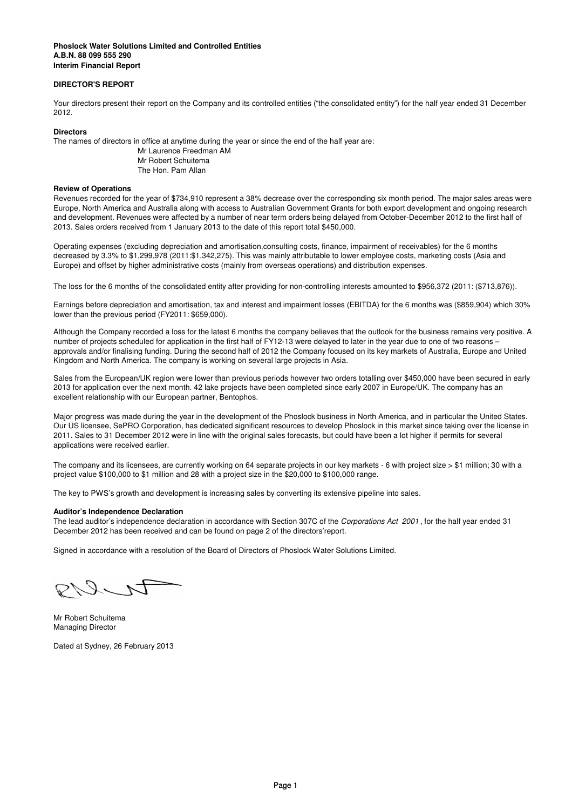### **Interim Financial Report Phoslock Water Solutions Limited and Controlled Entities A.B.N. 88 099 555 290**

# **DIRECTOR'S REPORT**

Your directors present their report on the Company and its controlled entities ("the consolidated entity") for the half year ended 31 December 2012.

### **Directors**

The names of directors in office at anytime during the year or since the end of the half year are:

Mr Laurence Freedman AM Mr Robert Schuitema The Hon. Pam Allan

### **Review of Operations**

Revenues recorded for the year of \$734,910 represent a 38% decrease over the corresponding six month period. The major sales areas were Europe, North America and Australia along with access to Australian Government Grants for both export development and ongoing research and development. Revenues were affected by a number of near term orders being delayed from October-December 2012 to the first half of 2013. Sales orders received from 1 January 2013 to the date of this report total \$450,000.

Operating expenses (excluding depreciation and amortisation,consulting costs, finance, impairment of receivables) for the 6 months decreased by 3.3% to \$1,299,978 (2011:\$1,342,275). This was mainly attributable to lower employee costs, marketing costs (Asia and Europe) and offset by higher administrative costs (mainly from overseas operations) and distribution expenses.

The loss for the 6 months of the consolidated entity after providing for non-controlling interests amounted to \$956,372 (2011: (\$713,876)).

Earnings before depreciation and amortisation, tax and interest and impairment losses (EBITDA) for the 6 months was (\$859,904) which 30% lower than the previous period (FY2011: \$659,000).

Although the Company recorded a loss for the latest 6 months the company believes that the outlook for the business remains very positive. A number of projects scheduled for application in the first half of FY12-13 were delayed to later in the year due to one of two reasons – approvals and/or finalising funding. During the second half of 2012 the Company focused on its key markets of Australia, Europe and United Kingdom and North America. The company is working on several large projects in Asia.

Sales from the European/UK region were lower than previous periods however two orders totalling over \$450,000 have been secured in early 2013 for application over the next month. 42 lake projects have been completed since early 2007 in Europe/UK. The company has an excellent relationship with our European partner, Bentophos.

Major progress was made during the year in the development of the Phoslock business in North America, and in particular the United States. Our US licensee, SePRO Corporation, has dedicated significant resources to develop Phoslock in this market since taking over the license in 2011. Sales to 31 December 2012 were in line with the original sales forecasts, but could have been a lot higher if permits for several applications were received earlier.

The company and its licensees, are currently working on 64 separate projects in our key markets - 6 with project size > \$1 million; 30 with a project value \$100,000 to \$1 million and 28 with a project size in the \$20,000 to \$100,000 range.

The key to PWS's growth and development is increasing sales by converting its extensive pipeline into sales.

# **Auditor's Independence Declaration**

The lead auditor's independence declaration in accordance with Section 307C of the *Corporations Act 2001* , for the half year ended 31 December 2012 has been received and can be found on page 2 of the directors'report.

Signed in accordance with a resolution of the Board of Directors of Phoslock Water Solutions Limited.

カレク

Mr Robert Schuitema Managing Director

Dated at Sydney, 26 February 2013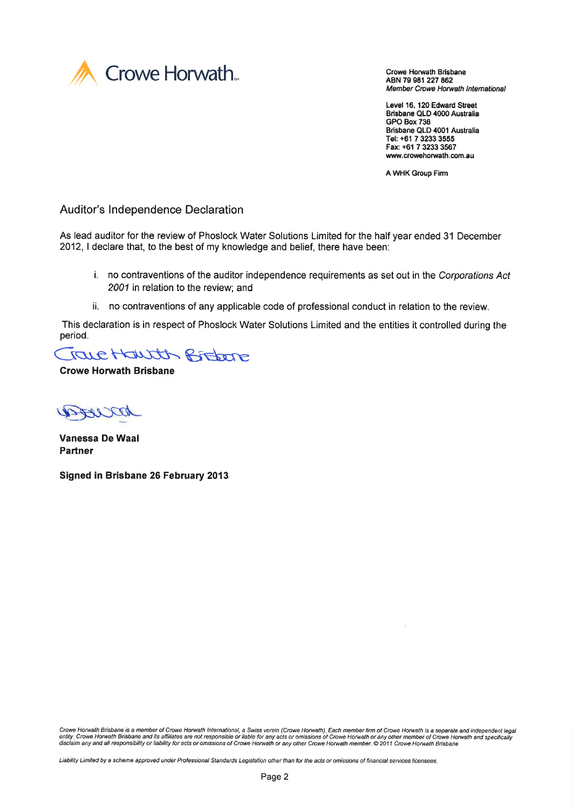

ABN 79 981 227 862 Member Crowe Horwath International

Level 16, 120 Edward Street Brisbane QLD 4000 Australia GPO Box 736 Brisbane QLD 4001 Australia Tel: +61 7 3233 3555 Fax: +61 7 3233 3567 www.crowehorwath.com.au

A WHK Group Firm

Auditor's lndependence Declaration

As lead auditor for the review of Phoslock Water Solutions Limited for the half year ended 31 December 2012, I declare that, to the best of my knowledge and belief, there have been:

- i. no contraventions of the auditor independence requirements as set out in the Corporations Act 2001 in relation to the review; and
- ii. no contraventions of any applicable code of professional conduct in relation to the review.

This declaration is in respect of Phoslock Water Solutions Limited and the entities it controlled during the period.

True Hautt Bretone

**Crowe Horwath Brisbane** 

DRIVEN

Vanessa De Waal Partner

Signed in Brisbane 26 February 2013

Crowe Horwath Brisbane is a member of Crowe Horwath International, a Swiss verein (Crowe Horwath). Each member firm of Crowe Horwath is a separale and independent legal entity. Crowe Horwath Brisbane and its affiliates are not responsible or liable for any acts or omissions of Crowe Horwath or any other member of Crowe Horwath and specifically<br>disclaim any and all responsibility or liabil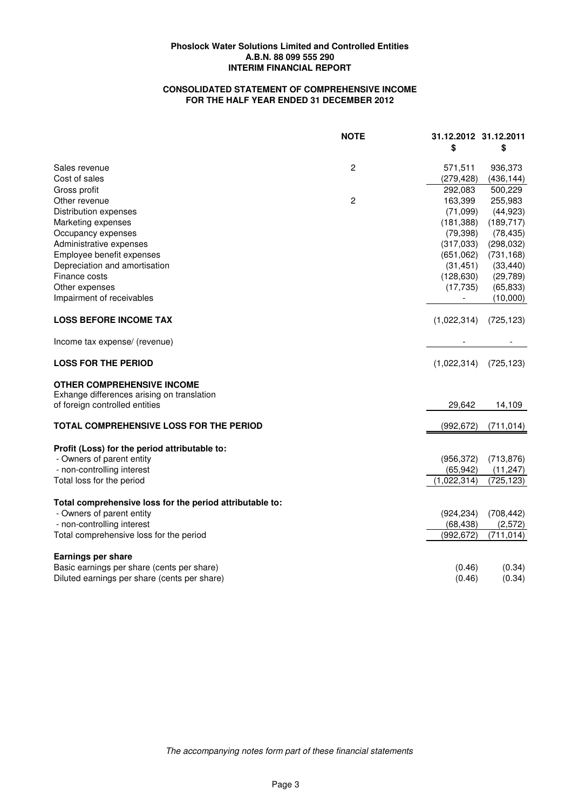# **CONSOLIDATED STATEMENT OF COMPREHENSIVE INCOME FOR THE HALF YEAR ENDED 31 DECEMBER 2012**

|                                                                                       | <b>NOTE</b>    | 31.12.2012 31.12.2011<br>\$ | \$                       |
|---------------------------------------------------------------------------------------|----------------|-----------------------------|--------------------------|
| Sales revenue                                                                         | $\overline{c}$ | 571,511                     | 936,373                  |
| Cost of sales                                                                         |                | (279, 428)                  | (436, 144)               |
| Gross profit                                                                          |                | 292,083                     | 500,229                  |
| Other revenue                                                                         | $\overline{c}$ | 163,399                     | 255,983                  |
| Distribution expenses                                                                 |                | (71,099)                    | (44, 923)                |
| Marketing expenses                                                                    |                | (181, 388)                  | (189, 717)               |
| Occupancy expenses                                                                    |                | (79, 398)                   | (78, 435)                |
| Administrative expenses                                                               |                | (317,033)                   | (298, 032)               |
| Employee benefit expenses                                                             |                | (651,062)                   | (731, 168)               |
| Depreciation and amortisation                                                         |                | (31, 451)                   | (33, 440)                |
| Finance costs                                                                         |                | (128, 630)                  | (29, 789)                |
| Other expenses                                                                        |                | (17, 735)                   | (65, 833)                |
| Impairment of receivables                                                             |                |                             | (10,000)                 |
| <b>LOSS BEFORE INCOME TAX</b>                                                         |                | (1,022,314)                 | (725, 123)               |
| Income tax expense/ (revenue)                                                         |                |                             | $\overline{\phantom{0}}$ |
| <b>LOSS FOR THE PERIOD</b>                                                            |                | (1,022,314)                 | (725, 123)               |
| <b>OTHER COMPREHENSIVE INCOME</b>                                                     |                |                             |                          |
| Exhange differences arising on translation                                            |                |                             |                          |
| of foreign controlled entities                                                        |                | 29,642                      | 14,109                   |
| TOTAL COMPREHENSIVE LOSS FOR THE PERIOD                                               |                | (992, 672)                  | (711, 014)               |
| Profit (Loss) for the period attributable to:                                         |                |                             |                          |
| - Owners of parent entity                                                             |                | (956, 372)                  | (713, 876)               |
| - non-controlling interest                                                            |                | (65, 942)                   | (11, 247)                |
| Total loss for the period                                                             |                | (1,022,314)                 | (725, 123)               |
|                                                                                       |                |                             |                          |
| Total comprehensive loss for the period attributable to:<br>- Owners of parent entity |                | (924, 234)                  | (708, 442)               |
| - non-controlling interest                                                            |                | (68, 438)                   | (2,572)                  |
| Total comprehensive loss for the period                                               |                | (992, 672)                  | (711, 014)               |
|                                                                                       |                |                             |                          |
| <b>Earnings per share</b>                                                             |                |                             |                          |
| Basic earnings per share (cents per share)                                            |                | (0.46)                      | (0.34)                   |
| Diluted earnings per share (cents per share)                                          |                | (0.46)                      | (0.34)                   |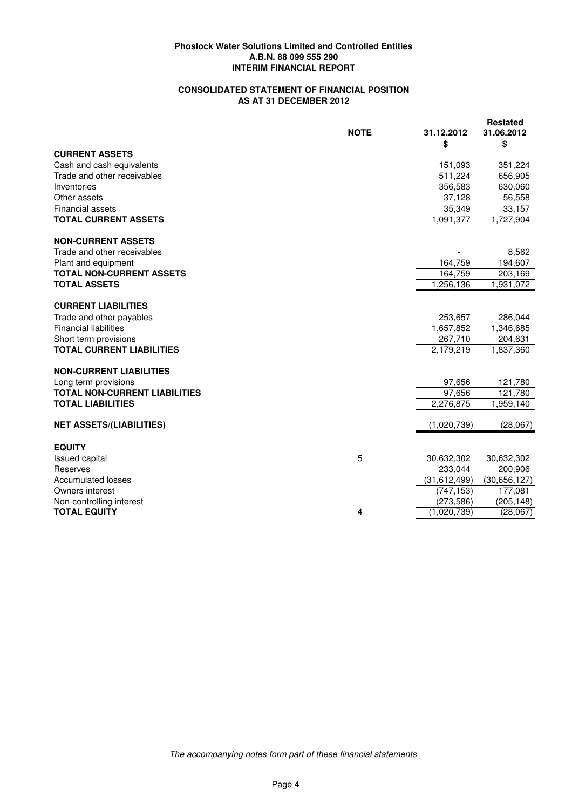# **CONSOLIDATED STATEMENT OF FINANCIAL POSITION AS AT 31 DECEMBER 2012**

|                                      | <b>NOTE</b>    | 31.12.2012<br>\$ | <b>Restated</b><br>31.06.2012<br>\$ |
|--------------------------------------|----------------|------------------|-------------------------------------|
| <b>CURRENT ASSETS</b>                |                |                  |                                     |
| Cash and cash equivalents            |                | 151,093          | 351,224                             |
| Trade and other receivables          |                | 511,224          | 656,905                             |
| Inventories                          |                | 356,583          | 630,060                             |
| Other assets                         |                | 37,128           | 56,558                              |
| <b>Financial assets</b>              |                | 35,349           | 33,157                              |
| <b>TOTAL CURRENT ASSETS</b>          |                | 1,091,377        | 1,727,904                           |
| <b>NON-CURRENT ASSETS</b>            |                |                  |                                     |
| Trade and other receivables          |                |                  | 8,562                               |
| Plant and equipment                  |                | 164,759          | 194,607                             |
| <b>TOTAL NON-CURRENT ASSETS</b>      |                | 164,759          | 203,169                             |
| <b>TOTAL ASSETS</b>                  |                | 1,256,136        | 1,931,072                           |
| <b>CURRENT LIABILITIES</b>           |                |                  |                                     |
| Trade and other payables             |                | 253,657          | 286,044                             |
| <b>Financial liabilities</b>         |                | 1,657,852        | 1,346,685                           |
| Short term provisions                |                | 267,710          | 204,631                             |
| <b>TOTAL CURRENT LIABILITIES</b>     |                | 2,179,219        | 1,837,360                           |
| <b>NON-CURRENT LIABILITIES</b>       |                |                  |                                     |
| Long term provisions                 |                | 97,656           | 121,780                             |
| <b>TOTAL NON-CURRENT LIABILITIES</b> |                | 97,656           | 121,780                             |
| <b>TOTAL LIABILITIES</b>             |                | 2,276,875        | 1,959,140                           |
| <b>NET ASSETS/(LIABILITIES)</b>      |                | (1,020,739)      | (28,067)                            |
| <b>EQUITY</b>                        |                |                  |                                     |
| <b>Issued capital</b>                | 5              | 30,632,302       | 30,632,302                          |
| Reserves                             |                | 233,044          | 200,906                             |
| <b>Accumulated losses</b>            |                | (31,612,499)     | (30,656,127)                        |
| Owners interest                      |                | (747, 153)       | 177,081                             |
| Non-controlling interest             |                | (273, 586)       | (205, 148)                          |
| <b>TOTAL EQUITY</b>                  | $\overline{4}$ | (1,020,739)      | (28,067)                            |
|                                      |                |                  |                                     |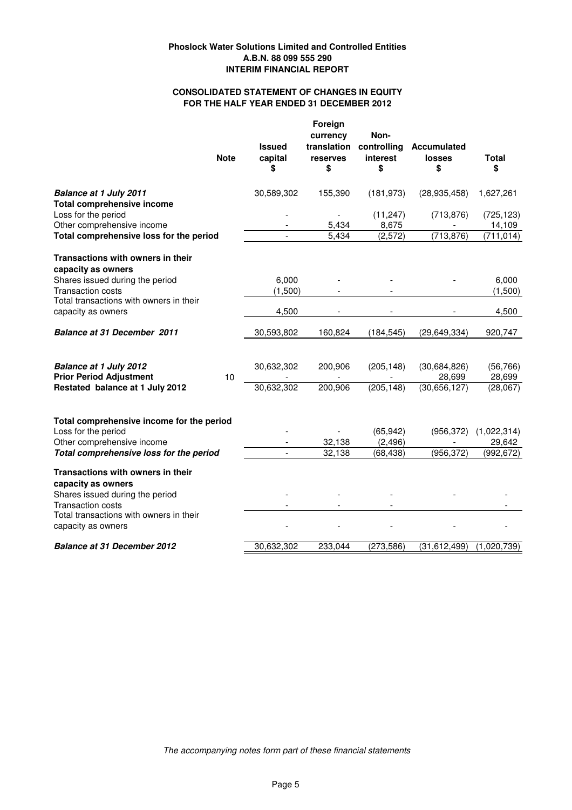# **FOR THE HALF YEAR ENDED 31 DECEMBER 2012 CONSOLIDATED STATEMENT OF CHANGES IN EQUITY**

|                                                                                                                                           | <b>Note</b> | <b>Issued</b><br>capital<br>\$ | Foreign<br>currency<br>translation<br>reserves<br>\$ | Non-<br>controlling<br>interest<br>\$ | <b>Accumulated</b><br>losses<br>\$ | <b>Total</b><br>\$                  |
|-------------------------------------------------------------------------------------------------------------------------------------------|-------------|--------------------------------|------------------------------------------------------|---------------------------------------|------------------------------------|-------------------------------------|
| <b>Balance at 1 July 2011</b><br><b>Total comprehensive income</b>                                                                        |             | 30,589,302                     | 155,390                                              | (181, 973)                            | (28, 935, 458)                     | 1,627,261                           |
| Loss for the period<br>Other comprehensive income                                                                                         |             |                                | 5,434                                                | (11, 247)<br>8,675                    | (713, 876)                         | (725, 123)<br>14,109                |
| Total comprehensive loss for the period                                                                                                   |             | $\blacksquare$                 | 5,434                                                | (2, 572)                              | (713, 876)                         | (711, 014)                          |
| Transactions with owners in their<br>capacity as owners                                                                                   |             |                                |                                                      |                                       |                                    |                                     |
| Shares issued during the period<br><b>Transaction costs</b>                                                                               |             | 6,000                          |                                                      |                                       |                                    | 6,000                               |
| Total transactions with owners in their                                                                                                   |             | (1,500)                        |                                                      |                                       |                                    | (1,500)                             |
| capacity as owners                                                                                                                        |             | 4,500                          |                                                      |                                       |                                    | 4,500                               |
| <b>Balance at 31 December 2011</b>                                                                                                        |             | 30,593,802                     | 160,824                                              | (184, 545)                            | (29, 649, 334)                     | 920,747                             |
| <b>Balance at 1 July 2012</b><br><b>Prior Period Adjustment</b>                                                                           | 10          | 30,632,302                     | 200,906                                              | (205, 148)                            | (30,684,826)<br>28,699             | (56, 766)<br>28,699                 |
| Restated balance at 1 July 2012                                                                                                           |             | 30,632,302                     | 200,906                                              | (205, 148)                            | (30,656,127)                       | (28,067)                            |
| Total comprehensive income for the period<br>Loss for the period<br>Other comprehensive income<br>Total comprehensive loss for the period |             | $\overline{a}$                 | 32,138<br>32,138                                     | (65, 942)<br>(2, 496)<br>(68, 438)    | (956, 372)<br>(956, 372)           | (1,022,314)<br>29,642<br>(992, 672) |
|                                                                                                                                           |             |                                |                                                      |                                       |                                    |                                     |
| Transactions with owners in their<br>capacity as owners                                                                                   |             |                                |                                                      |                                       |                                    |                                     |
| Shares issued during the period                                                                                                           |             |                                |                                                      |                                       |                                    |                                     |
| <b>Transaction costs</b><br>Total transactions with owners in their<br>capacity as owners                                                 |             |                                |                                                      |                                       |                                    |                                     |
| <b>Balance at 31 December 2012</b>                                                                                                        |             | 30,632,302                     | 233,044                                              | (273, 586)                            | (31,612,499)                       | (1,020,739)                         |

*The accompanying notes form part of these financial statements*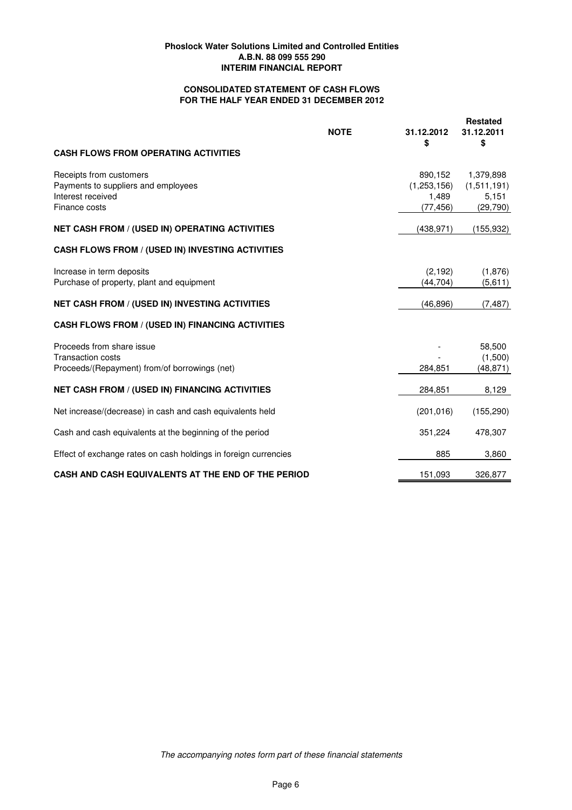# **CONSOLIDATED STATEMENT OF CASH FLOWS FOR THE HALF YEAR ENDED 31 DECEMBER 2012**

|                                                                                                        | <b>NOTE</b> | 31.12.2012                                   | <b>Restated</b><br>31.12.2011                  |
|--------------------------------------------------------------------------------------------------------|-------------|----------------------------------------------|------------------------------------------------|
| <b>CASH FLOWS FROM OPERATING ACTIVITIES</b>                                                            |             | \$                                           | \$                                             |
| Receipts from customers<br>Payments to suppliers and employees<br>Interest received<br>Finance costs   |             | 890,152<br>(1,253,156)<br>1,489<br>(77, 456) | 1,379,898<br>(1,511,191)<br>5,151<br>(29, 790) |
| <b>NET CASH FROM / (USED IN) OPERATING ACTIVITIES</b>                                                  |             | (438, 971)                                   | (155, 932)                                     |
| <b>CASH FLOWS FROM / (USED IN) INVESTING ACTIVITIES</b>                                                |             |                                              |                                                |
| Increase in term deposits<br>Purchase of property, plant and equipment                                 |             | (2, 192)<br>(44, 704)                        | (1,876)<br>(5,611)                             |
| <b>NET CASH FROM / (USED IN) INVESTING ACTIVITIES</b>                                                  |             | (46, 896)                                    | (7, 487)                                       |
| <b>CASH FLOWS FROM / (USED IN) FINANCING ACTIVITIES</b>                                                |             |                                              |                                                |
| Proceeds from share issue<br><b>Transaction costs</b><br>Proceeds/(Repayment) from/of borrowings (net) |             | 284,851                                      | 58,500<br>(1,500)<br>(48, 871)                 |
| <b>NET CASH FROM / (USED IN) FINANCING ACTIVITIES</b>                                                  |             | 284,851                                      | 8,129                                          |
| Net increase/(decrease) in cash and cash equivalents held                                              |             | (201, 016)                                   | (155, 290)                                     |
| Cash and cash equivalents at the beginning of the period                                               |             | 351,224                                      | 478,307                                        |
| Effect of exchange rates on cash holdings in foreign currencies                                        |             | 885                                          | 3,860                                          |
| CASH AND CASH EQUIVALENTS AT THE END OF THE PERIOD                                                     |             | 151,093                                      | 326,877                                        |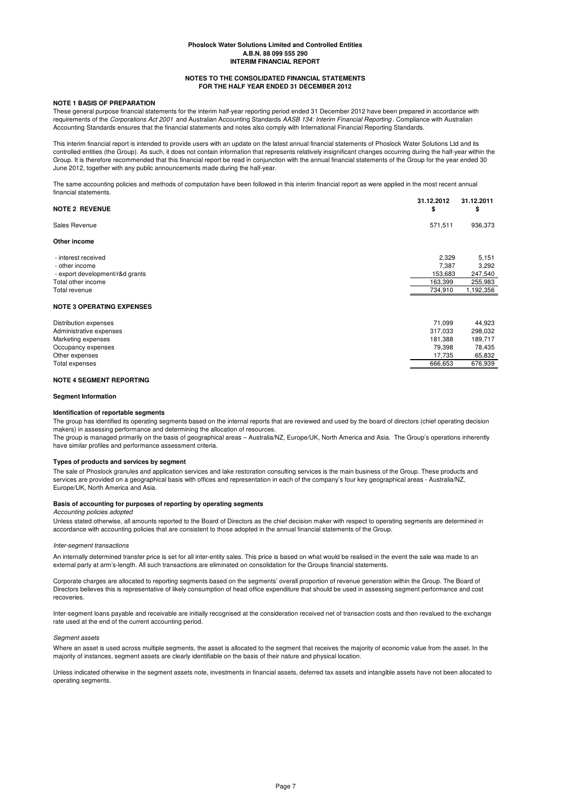### **NOTES TO THE CONSOLIDATED FINANCIAL STATEMENTS FOR THE HALF YEAR ENDED 31 DECEMBER 2012**

### **NOTE 1 BASIS OF PREPARATION**

These general purpose financial statements for the interim half-year reporting period ended 31 December 2012 have been prepared in accordance with requirements of the *Corporations Act 2001* and Australian Accounting Standards *AASB 134: Interim Financial Reporting* . Compliance with Australian Accounting Standards ensures that the financial statements and notes also comply with International Financial Reporting Standards.

This interim financial report is intended to provide users with an update on the latest annual financial statements of Phoslock Water Solutions Ltd and its controlled entities (the Group). As such, it does not contain information that represents relatively insignificant changes occurring during the half-year within the Group. It is therefore recommended that this financial report be read in conjunction with the annual financial statements of the Group for the year ended 30 June 2012, together with any public announcements made during the half-year.

The same accounting policies and methods of computation have been followed in this interim financial report as were applied in the most recent annual financial statements.

| <b>NOTE 2 REVENUE</b>            | 31.12.2012<br>\$ | 31.12.2011<br>\$ |
|----------------------------------|------------------|------------------|
| Sales Revenue                    | 571,511          | 936,373          |
| Other income                     |                  |                  |
| - interest received              | 2,329            | 5,151            |
| - other income                   | 7,387            | 3,292            |
| - export development/r&d grants  | 153,683          | 247,540          |
| Total other income               | 163,399          | 255,983          |
| Total revenue                    | 734,910          | 1,192,356        |
| <b>NOTE 3 OPERATING EXPENSES</b> |                  |                  |
| Distribution expenses            | 71,099           | 44,923           |
| Administrative expenses          | 317,033          | 298,032          |
| Marketing expenses               | 181,388          | 189,717          |
| Occupancy expenses               | 79,398           | 78,435           |
| Other expenses                   | 17,735           | 65,832           |
| Total expenses                   | 666,653          | 676,939          |

### **NOTE 4 SEGMENT REPORTING**

### **Segment Information**

### **Identification of reportable segments**

The group has identified its operating segments based on the internal reports that are reviewed and used by the board of directors (chief operating decision makers) in assessing performance and determining the allocation of resources.

The group is managed primarily on the basis of geographical areas – Australia/NZ, Europe/UK, North America and Asia. The Group's operations inherently have similar profiles and performance assessment criteria.

### **Types of products and services by segment**

The sale of Phoslock granules and application services and lake restoration consulting services is the main business of the Group. These products and services are provided on a geographical basis with offices and representation in each of the company's four key geographical areas - Australia/NZ, Europe/UK, North America and Asia.

### **Basis of accounting for purposes of reporting by operating segments**

### *Accounting policies adopted*

Unless stated otherwise, all amounts reported to the Board of Directors as the chief decision maker with respect to operating segments are determined in accordance with accounting policies that are consistent to those adopted in the annual financial statements of the Group.

### *Inter-segment transactions*

An internally determined transfer price is set for all inter-entity sales. This price is based on what would be realised in the event the sale was made to an external party at arm's-length. All such transactions are eliminated on consolidation for the Groups financial statements.

Corporate charges are allocated to reporting segments based on the segments' overall proportion of revenue generation within the Group. The Board of Directors believes this is representative of likely consumption of head office expenditure that should be used in assessing segment performance and cost recoveries.

Inter-segment loans payable and receivable are initially recognised at the consideration received net of transaction costs and then revalued to the exchange rate used at the end of the current accounting period.

### *Segment assets*

Where an asset is used across multiple segments, the asset is allocated to the segment that receives the majority of economic value from the asset. In the majority of instances, segment assets are clearly identifiable on the basis of their nature and physical location.

Unless indicated otherwise in the segment assets note, investments in financial assets, deferred tax assets and intangible assets have not been allocated to operating segments.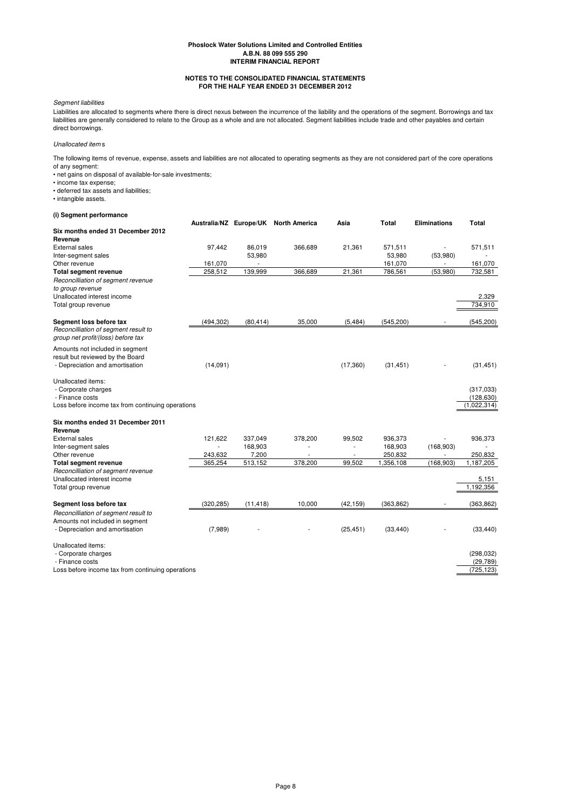### **NOTES TO THE CONSOLIDATED FINANCIAL STATEMENTS FOR THE HALF YEAR ENDED 31 DECEMBER 2012**

### *Segment liabilities*

Liabilities are allocated to segments where there is direct nexus between the incurrence of the liability and the operations of the segment. Borrowings and tax liabilities are generally considered to relate to the Group as a whole and are not allocated. Segment liabilities include trade and other payables and certain direct borrowings.

# *Unallocated item* s

The following items of revenue, expense, assets and liabilities are not allocated to operating segments as they are not considered part of the core operations of any segment:

• net gains on disposal of available-for-sale investments;

• income tax expense;

• deferred tax assets and liabilities;

• intangible assets.

## **(i) Segment performance**

|                                                   |            |           | Australia/NZ Europe/UK North America | Asia      | Total      | <b>Eliminations</b> | Total       |
|---------------------------------------------------|------------|-----------|--------------------------------------|-----------|------------|---------------------|-------------|
| Six months ended 31 December 2012                 |            |           |                                      |           |            |                     |             |
| Revenue                                           |            |           |                                      |           |            |                     |             |
| <b>External sales</b>                             | 97.442     | 86,019    | 366,689                              | 21,361    | 571,511    |                     | 571,511     |
| Inter-segment sales                               |            | 53,980    |                                      |           | 53,980     | (53,980)            |             |
| Other revenue                                     | 161,070    |           |                                      |           | 161,070    |                     | 161,070     |
| <b>Total segment revenue</b>                      | 258,512    | 139,999   | 366,689                              | 21,361    | 786,561    | (53,980)            | 732,581     |
| Reconcilliation of segment revenue                |            |           |                                      |           |            |                     |             |
| to group revenue                                  |            |           |                                      |           |            |                     |             |
| Unallocated interest income                       |            |           |                                      |           |            |                     | 2,329       |
| Total group revenue                               |            |           |                                      |           |            |                     | 734,910     |
| Segment loss before tax                           | (494, 302) | (80, 414) | 35,000                               | (5, 484)  | (545, 200) |                     | (545, 200)  |
| Reconcilliation of segment result to              |            |           |                                      |           |            |                     |             |
| group net profit/(loss) before tax                |            |           |                                      |           |            |                     |             |
| Amounts not included in segment                   |            |           |                                      |           |            |                     |             |
| result but reviewed by the Board                  |            |           |                                      |           |            |                     |             |
| - Depreciation and amortisation                   | (14,091)   |           |                                      | (17, 360) | (31, 451)  |                     | (31, 451)   |
|                                                   |            |           |                                      |           |            |                     |             |
| Unallocated items:                                |            |           |                                      |           |            |                     |             |
| - Corporate charges                               |            |           |                                      |           |            |                     | (317,033)   |
| - Finance costs                                   |            |           |                                      |           |            |                     | (128, 630)  |
| Loss before income tax from continuing operations |            |           |                                      |           |            |                     | (1,022,314) |
| Six months ended 31 December 2011                 |            |           |                                      |           |            |                     |             |
| Revenue                                           |            |           |                                      |           |            |                     |             |
| <b>External sales</b>                             | 121,622    | 337,049   | 378,200                              | 99,502    | 936,373    |                     | 936,373     |
| Inter-segment sales                               |            | 168,903   | ٠                                    |           | 168,903    | (168,903)           |             |
| Other revenue                                     | 243,632    | 7,200     |                                      |           | 250,832    |                     | 250,832     |
| <b>Total segment revenue</b>                      | 365,254    | 513,152   | 378,200                              | 99,502    | 1,356,108  | (168, 903)          | 1,187,205   |
| Reconcilliation of segment revenue                |            |           |                                      |           |            |                     |             |
| Unallocated interest income                       |            |           |                                      |           |            |                     | 5,151       |
| Total group revenue                               |            |           |                                      |           |            |                     | 1,192,356   |
|                                                   |            |           |                                      |           |            |                     |             |
| Segment loss before tax                           | (320, 285) | (11, 418) | 10,000                               | (42, 159) | (363, 862) |                     | (363, 862)  |
| Reconcilliation of segment result to              |            |           |                                      |           |            |                     |             |
| Amounts not included in segment                   |            |           |                                      |           |            |                     |             |
| - Depreciation and amortisation                   | (7,989)    |           |                                      | (25, 451) | (33, 440)  |                     | (33, 440)   |
| Unallocated items:                                |            |           |                                      |           |            |                     |             |
| - Corporate charges                               |            |           |                                      |           |            |                     | (298, 032)  |
| - Finance costs                                   |            |           |                                      |           |            |                     | (29, 789)   |
| Loss before income tax from continuing operations |            |           |                                      |           |            |                     | (725, 123)  |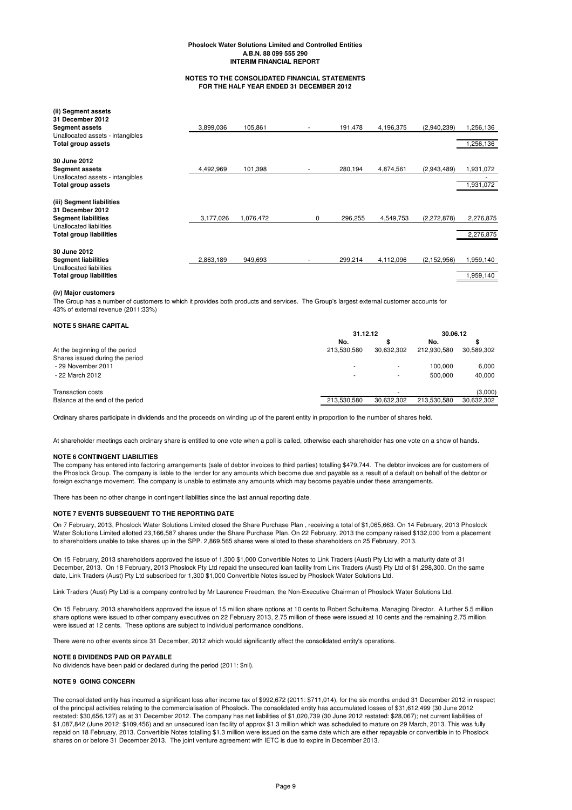### **NOTES TO THE CONSOLIDATED FINANCIAL STATEMENTS FOR THE HALF YEAR ENDED 31 DECEMBER 2012**

| (ii) Segment assets<br>31 December 2012                          |           |           |   |         |           |               |           |
|------------------------------------------------------------------|-----------|-----------|---|---------|-----------|---------------|-----------|
| <b>Segment assets</b>                                            | 3,899,036 | 105,861   | ٠ | 191,478 | 4,196,375 | (2,940,239)   | 1.256,136 |
| Unallocated assets - intangibles                                 |           |           |   |         |           |               |           |
| <b>Total group assets</b>                                        |           |           |   |         |           |               | 1,256,136 |
| 30 June 2012                                                     |           |           |   |         |           |               |           |
| <b>Segment assets</b>                                            | 4,492,969 | 101,398   |   | 280,194 | 4,874,561 | (2,943,489)   | 1,931,072 |
| Unallocated assets - intangibles                                 |           |           |   |         |           |               |           |
| <b>Total group assets</b>                                        |           |           |   |         |           |               | 1,931,072 |
| (iii) Segment liabilities<br>31 December 2012                    |           |           |   |         |           |               |           |
| <b>Segment liabilities</b>                                       | 3,177,026 | 1,076,472 | 0 | 296,255 | 4,549,753 | (2,272,878)   | 2,276,875 |
| <b>Unallocated liabilities</b><br><b>Total group liabilities</b> |           |           |   |         |           |               | 2,276,875 |
|                                                                  |           |           |   |         |           |               |           |
| 30 June 2012                                                     |           |           |   |         |           |               |           |
| <b>Segment liabilities</b>                                       | 2,863,189 | 949,693   |   | 299,214 | 4,112,096 | (2, 152, 956) | 1,959,140 |
| Unallocated liabilities                                          |           |           |   |         |           |               |           |
| Total group liabilities                                          |           |           |   |         |           |               | 1,959,140 |

### **(iv) Major customers**

The Group has a number of customers to which it provides both products and services. The Group's largest external customer accounts for 43% of external revenue (2011:33%)

|                                  | 31.12.12    |            | 30.06.12    |            |
|----------------------------------|-------------|------------|-------------|------------|
|                                  | No.         |            | No.         |            |
| At the beginning of the period   | 213.530.580 | 30.632.302 | 212.930.580 | 30.589.302 |
| Shares issued during the period  |             |            |             |            |
| - 29 November 2011               |             | ۰          | 100.000     | 6.000      |
| - 22 March 2012                  |             | ۰          | 500.000     | 40.000     |
| <b>Transaction costs</b>         |             |            |             | (3,000)    |
| Balance at the end of the period | 213.530.580 | 30.632.302 | 213.530.580 | 30,632,302 |

Ordinary shares participate in dividends and the proceeds on winding up of the parent entity in proportion to the number of shares held.

At shareholder meetings each ordinary share is entitled to one vote when a poll is called, otherwise each shareholder has one vote on a show of hands.

### **NOTE 6 CONTINGENT LIABILITIES**

The company has entered into factoring arrangements (sale of debtor invoices to third parties) totalling \$479,744. The debtor invoices are for customers of the Phoslock Group. The company is liable to the lender for any amounts which become due and payable as a result of a default on behalf of the debtor or foreign exchange movement. The company is unable to estimate any amounts which may become payable under these arrangements.

There has been no other change in contingent liabilities since the last annual reporting date.

### **NOTE 7 EVENTS SUBSEQUENT TO THE REPORTING DATE**

On 7 February, 2013, Phoslock Water Solutions Limited closed the Share Purchase Plan , receiving a total of \$1,065,663. On 14 February, 2013 Phoslock Water Solutions Limited allotted 23,166,587 shares under the Share Purchase Plan. On 22 February, 2013 the company raised \$132,000 from a placement to shareholders unable to take shares up in the SPP. 2,869,565 shares were alloted to these shareholders on 25 February, 2013.

On 15 February, 2013 shareholders approved the issue of 1,300 \$1,000 Convertible Notes to Link Traders (Aust) Pty Ltd with a maturity date of 31 December, 2013. On 18 February, 2013 Phoslock Pty Ltd repaid the unsecured loan facility from Link Traders (Aust) Pty Ltd of \$1,298,300. On the same date, Link Traders (Aust) Pty Ltd subscribed for 1,300 \$1,000 Convertible Notes issued by Phoslock Water Solutions Ltd.

Link Traders (Aust) Pty Ltd is a company controlled by Mr Laurence Freedman, the Non-Executive Chairman of Phoslock Water Solutions Ltd.

On 15 February, 2013 shareholders approved the issue of 15 million share options at 10 cents to Robert Schuitema, Managing Director. A further 5.5 million share options were issued to other company executives on 22 February 2013, 2.75 million of these were issued at 10 cents and the remaining 2.75 million were issued at 12 cents. These options are subject to individual performance conditions.

There were no other events since 31 December, 2012 which would significantly affect the consolidated entity's operations.

### **NOTE 8 DIVIDENDS PAID OR PAYABLE**

No dividends have been paid or declared during the period (2011: \$nil).

### **NOTE 9 GOING CONCERN**

The consolidated entity has incurred a significant loss after income tax of \$992,672 (2011: \$711,014), for the six months ended 31 December 2012 in respect of the principal activities relating to the commercialisation of Phoslock. The consolidated entity has accumulated losses of \$31,612,499 (30 June 2012 restated: \$30,656,127) as at 31 December 2012. The company has net liabilities of \$1,020,739 (30 June 2012 restated: \$28,067); net current liabilities of \$1,087,842 (June 2012: \$109,456) and an unsecured loan facility of approx \$1.3 million which was scheduled to mature on 29 March, 2013. This was fully repaid on 18 February, 2013. Convertible Notes totalling \$1.3 million were issued on the same date which are either repayable or convertible in to Phoslock shares on or before 31 December 2013. The joint venture agreement with IETC is due to expire in December 2013.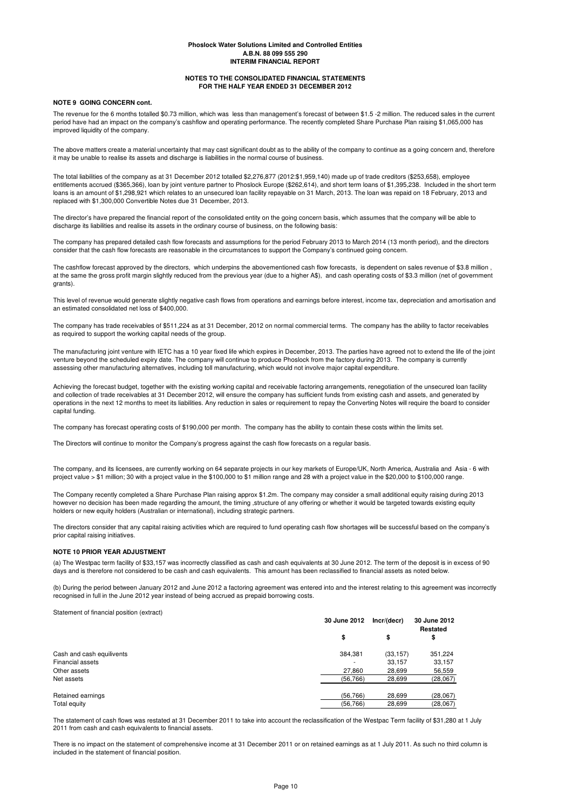### **NOTES TO THE CONSOLIDATED FINANCIAL STATEMENTS FOR THE HALF YEAR ENDED 31 DECEMBER 2012**

### **NOTE 9 GOING CONCERN cont.**

The revenue for the 6 months totalled \$0.73 million, which was less than management's forecast of between \$1.5 -2 million. The reduced sales in the current period have had an impact on the company's cashflow and operating performance. The recently completed Share Purchase Plan raising \$1,065,000 has improved liquidity of the company.

The above matters create a material uncertainty that may cast significant doubt as to the ability of the company to continue as a going concern and, therefore it may be unable to realise its assets and discharge is liabilities in the normal course of business.

The total liabilities of the company as at 31 December 2012 totalled \$2,276,877 (2012:\$1,959,140) made up of trade creditors (\$253,658), employee entitlements accrued (\$365,366), loan by joint venture partner to Phoslock Europe (\$262,614), and short term loans of \$1,395,238. Included in the short term loans is an amount of \$1,298,921 which relates to an unsecured loan facility repayable on 31 March, 2013. The loan was repaid on 18 February, 2013 and replaced with \$1,300,000 Convertible Notes due 31 December, 2013.

The director's have prepared the financial report of the consolidated entity on the going concern basis, which assumes that the company will be able to discharge its liabilities and realise its assets in the ordinary course of business, on the following basis:

The company has prepared detailed cash flow forecasts and assumptions for the period February 2013 to March 2014 (13 month period), and the directors consider that the cash flow forecasts are reasonable in the circumstances to support the Company's continued going concern.

The cashflow forecast approved by the directors, which underpins the abovementioned cash flow forecasts, is dependent on sales revenue of \$3.8 million, at the same the gross profit margin slightly reduced from the previous year (due to a higher A\$), and cash operating costs of \$3.3 million (net of government grants).

This level of revenue would generate slightly negative cash flows from operations and earnings before interest, income tax, depreciation and amortisation and an estimated consolidated net loss of \$400,000.

The company has trade receivables of \$511,224 as at 31 December, 2012 on normal commercial terms. The company has the ability to factor receivables as required to support the working capital needs of the group.

The manufacturing joint venture with IETC has a 10 year fixed life which expires in December, 2013. The parties have agreed not to extend the life of the joint venture beyond the scheduled expiry date. The company will continue to produce Phoslock from the factory during 2013. The company is currently assessing other manufacturing alternatives, including toll manufacturing, which would not involve major capital expenditure.

Achieving the forecast budget, together with the existing working capital and receivable factoring arrangements, renegotiation of the unsecured loan facility and collection of trade receivables at 31 December 2012, will ensure the company has sufficient funds from existing cash and assets, and generated by operations in the next 12 months to meet its liabilities. Any reduction in sales or requirement to repay the Converting Notes will require the board to consider capital funding.

The company has forecast operating costs of \$190,000 per month. The company has the ability to contain these costs within the limits set.

The Directors will continue to monitor the Company's progress against the cash flow forecasts on a regular basis.

The company, and its licensees, are currently working on 64 separate projects in our key markets of Europe/UK, North America, Australia and Asia - 6 with project value > \$1 million; 30 with a project value in the \$100,000 to \$1 million range and 28 with a project value in the \$20,000 to \$100,000 range.

The Company recently completed a Share Purchase Plan raising approx \$1.2m. The company may consider a small additional equity raising during 2013 however no decision has been made regarding the amount, the timing ,structure of any offering or whether it would be targeted towards existing equity holders or new equity holders (Australian or international), including strategic partners.

The directors consider that any capital raising activities which are required to fund operating cash flow shortages will be successful based on the company's prior capital raising initiatives.

### **NOTE 10 PRIOR YEAR ADJUSTMENT**

(a) The Westpac term facility of \$33,157 was incorrectly classified as cash and cash equivalents at 30 June 2012. The term of the deposit is in excess of 90 days and is therefore not considered to be cash and cash equivalents. This amount has been reclassified to financial assets as noted below.

(b) During the period between January 2012 and June 2012 a factoring agreement was entered into and the interest relating to this agreement was incorrectly recognised in full in the June 2012 year instead of being accrued as prepaid borrowing costs.

Statement of financial position (extract)

|                           | 30 June 2012 | Incr/(decr)<br>\$ | 30 June 2012<br>Restated<br>\$ |
|---------------------------|--------------|-------------------|--------------------------------|
|                           | \$           |                   |                                |
| Cash and cash equilivents | 384,381      | (33, 157)         | 351,224                        |
| <b>Financial assets</b>   |              | 33,157            | 33,157                         |
| Other assets              | 27.860       | 28.699            | 56,559                         |
| Net assets                | (56, 766)    | 28,699            | (28,067)                       |
| Retained earnings         | (56.766)     | 28.699            | (28,067)                       |
| Total equity              | (56, 766)    | 28,699            | (28,067)                       |

The statement of cash flows was restated at 31 December 2011 to take into account the reclassification of the Westpac Term facility of \$31,280 at 1 July 2011 from cash and cash equivalents to financial assets.

There is no impact on the statement of comprehensive income at 31 December 2011 or on retained earnings as at 1 July 2011. As such no third column is included in the statement of financial position.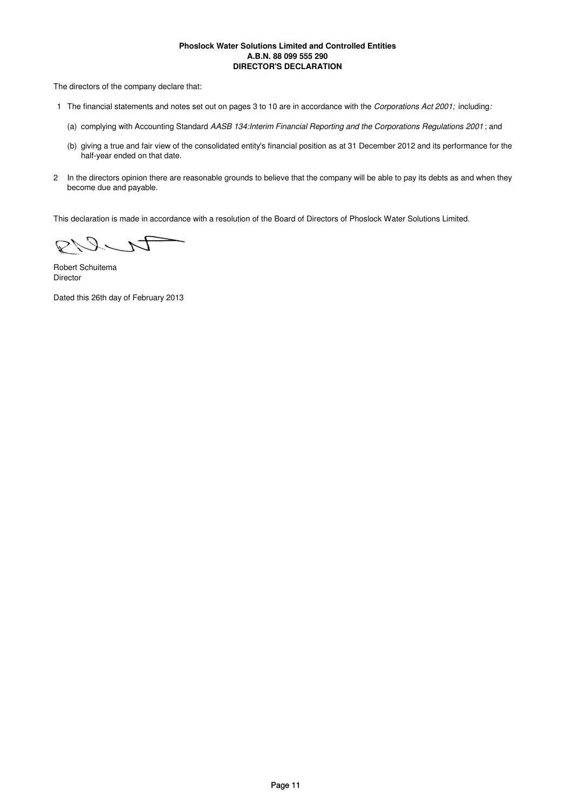# **Phoslock Water Solutions Limited and Controlled Entities A.B.N. 88 099 555 290 DIRECTOR'S DECLARATION**

The directors of the company declare that:

- 1 The financial statements and notes set out on pages 3 to 10 are in accordance with the *Corporations Act 2001;* including*:*
	- (a) complying with Accounting Standard *AASB 134:Interim Financial Reporting and the Corporations Regulations 2001* ; and
	- (b) giving a true and fair view of the consolidated entity's financial position as at 31 December 2012 and its performance for the half-year ended on that date.
- 2 In the directors opinion there are reasonable grounds to believe that the company will be able to pay its debts as and when they become due and payable.

This declaration is made in accordance with a resolution of the Board of Directors of Phoslock Water Solutions Limited.

DUR

Robert Schuitema Director

Dated this 26th day of February 2013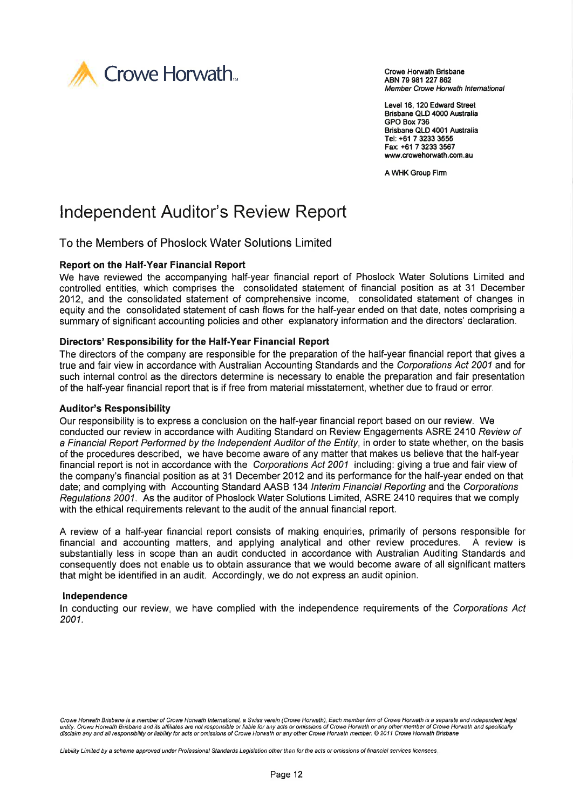

ABN 79 981 227 862 Member Crowe Horwath International

Level 16, 120 Edward Street Brisbane QLD 4000 Australia GPO Box 736 Brisbane QLD 4001 Australia Tel: +ô1 7 3233 3555 Fax: +61 7 3233 3567 www.crowehorwath.com.au

A WHK Group Firm

# lndependent Auditor's Review Report

To the Members of Phoslock Water Solutions Limited

# Report on the Half-Year Financial Report

We have reviewed the accompanying half-year financial report of Phoslock Water Solutions Limited and controlled entities, which comprises the consolidated statement of financial position as at 31 December 2012, and the consolidated statement of comprehensive income, consolidated statement of changes in equity and the consolidated statement of cash flows for the half-year ended on that date, notes comprising a summary of significant accounting policies and other explanatory information and the directors' declaration.

# Directors' Responsibility for the Half-Year Financial Report

The directors of the company are responsible for the preparation of the half-year financial report that gives a true and fair view in accordance with Australian Accounting Standards and the Corporations Act 2001 and for such internal control as the directors determine is necessary to enable the preparation and fair presentation of the half-year financial report that is if free from material misstatement, whether due to fraud or error.

# **Auditor's Responsibility**

Our responsibility is to express a conclusion on the half-year financial report based on our review. We conducted our review in accordance with Auditing Standard on Review Engagements ASRE 2410 Review of a Financial Report Performed by the Independent Auditor of the Entity, in order to state whether, on the basis of the procedures described, we have become aware of any matter that makes us believe that the half-year financial report is not in accordance with the Corporations Act 2001 including: giving a true and fair view of the company's financial position as at 31 December 2012 and its performance for the half-year ended on that date; and complying with Accounting Standard AASB 134 Interim Financial Reporting and the Corporations Regulations 2001. As the auditor of Phoslock Water Solutions Limited, ASRE 2410 requires that we comply with the ethical requirements relevant to the audit of the annual financial report.

A review of a half-year financial report consists of making enquiries, primarily of persons responsible for financial and accounting matters, and applying analytical and other review procedures. A review is substantially less in scope than an audit conducted in accordance with Australian Auditing Standards and consequently does not enable us to obtain assurance that we would become aware of all significant matters that might be identified in an audit. Accordingly, we do not express an audit opinion.

# Independence

ln conducting our review, we have complied with the independence requirements of the Corporations Act 2001.

Liability Limited by a scheme approved under Professional Standards Legislation other than for the acts or omissions of financial services licensees.

Crowe Horwath Brisbane is a member of Crowe Horwath International, a Swiss verein (Crowe Horwath). Each member firm of Crowe Horwath is a separate and independent legal<br>entity. Crowe Horwath Brisbane and its affiliates are disclaim any and all responsibility or liability for acts or omissions of Crowe Horwath or any other Crowe Horwath member. @ 2011 Crowe Horwath Brisbane